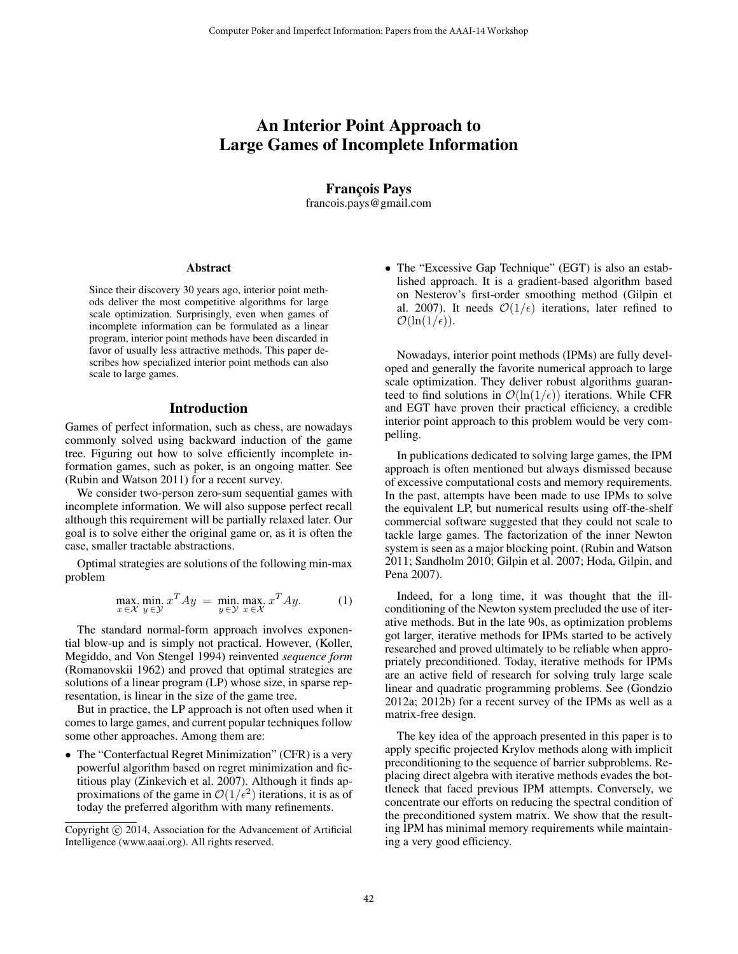# An Interior Point Approach to Large Games of Incomplete Information

Franc¸ois Pays francois.pays@gmail.com

#### Abstract

Since their discovery 30 years ago, interior point methods deliver the most competitive algorithms for large scale optimization. Surprisingly, even when games of incomplete information can be formulated as a linear program, interior point methods have been discarded in favor of usually less attractive methods. This paper describes how specialized interior point methods can also scale to large games.

#### Introduction

Games of perfect information, such as chess, are nowadays commonly solved using backward induction of the game tree. Figuring out how to solve efficiently incomplete information games, such as poker, is an ongoing matter. See (Rubin and Watson 2011) for a recent survey.

We consider two-person zero-sum sequential games with incomplete information. We will also suppose perfect recall although this requirement will be partially relaxed later. Our goal is to solve either the original game or, as it is often the case, smaller tractable abstractions.

Optimal strategies are solutions of the following min-max problem

$$
\max_{x \in \mathcal{X}} \min_{y \in \mathcal{Y}} x^T A y = \min_{y \in \mathcal{Y}} \max_{x \in \mathcal{X}} x^T A y.
$$
 (1)

The standard normal-form approach involves exponential blow-up and is simply not practical. However, (Koller, Megiddo, and Von Stengel 1994) reinvented *sequence form* (Romanovskii 1962) and proved that optimal strategies are solutions of a linear program (LP) whose size, in sparse representation, is linear in the size of the game tree.

But in practice, the LP approach is not often used when it comes to large games, and current popular techniques follow some other approaches. Among them are:

• The "Conterfactual Regret Minimization" (CFR) is a very powerful algorithm based on regret minimization and fictitious play (Zinkevich et al. 2007). Although it finds approximations of the game in  $\mathcal{O}(1/\epsilon^2)$  iterations, it is as of today the preferred algorithm with many refinements.

• The "Excessive Gap Technique" (EGT) is also an established approach. It is a gradient-based algorithm based on Nesterov's first-order smoothing method (Gilpin et al. 2007). It needs  $\mathcal{O}(1/\epsilon)$  iterations, later refined to  $\mathcal{O}(\ln(1/\epsilon)).$ 

Nowadays, interior point methods (IPMs) are fully developed and generally the favorite numerical approach to large scale optimization. They deliver robust algorithms guaranteed to find solutions in  $\mathcal{O}(\ln(1/\epsilon))$  iterations. While CFR and EGT have proven their practical efficiency, a credible interior point approach to this problem would be very compelling.

In publications dedicated to solving large games, the IPM approach is often mentioned but always dismissed because of excessive computational costs and memory requirements. In the past, attempts have been made to use IPMs to solve the equivalent LP, but numerical results using off-the-shelf commercial software suggested that they could not scale to tackle large games. The factorization of the inner Newton system is seen as a major blocking point. (Rubin and Watson 2011; Sandholm 2010; Gilpin et al. 2007; Hoda, Gilpin, and Pena 2007).

Indeed, for a long time, it was thought that the illconditioning of the Newton system precluded the use of iterative methods. But in the late 90s, as optimization problems got larger, iterative methods for IPMs started to be actively researched and proved ultimately to be reliable when appropriately preconditioned. Today, iterative methods for IPMs are an active field of research for solving truly large scale linear and quadratic programming problems. See (Gondzio 2012a; 2012b) for a recent survey of the IPMs as well as a matrix-free design.

The key idea of the approach presented in this paper is to apply specific projected Krylov methods along with implicit preconditioning to the sequence of barrier subproblems. Replacing direct algebra with iterative methods evades the bottleneck that faced previous IPM attempts. Conversely, we concentrate our efforts on reducing the spectral condition of the preconditioned system matrix. We show that the resulting IPM has minimal memory requirements while maintaining a very good efficiency.

Copyright © 2014, Association for the Advancement of Artificial Intelligence (www.aaai.org). All rights reserved.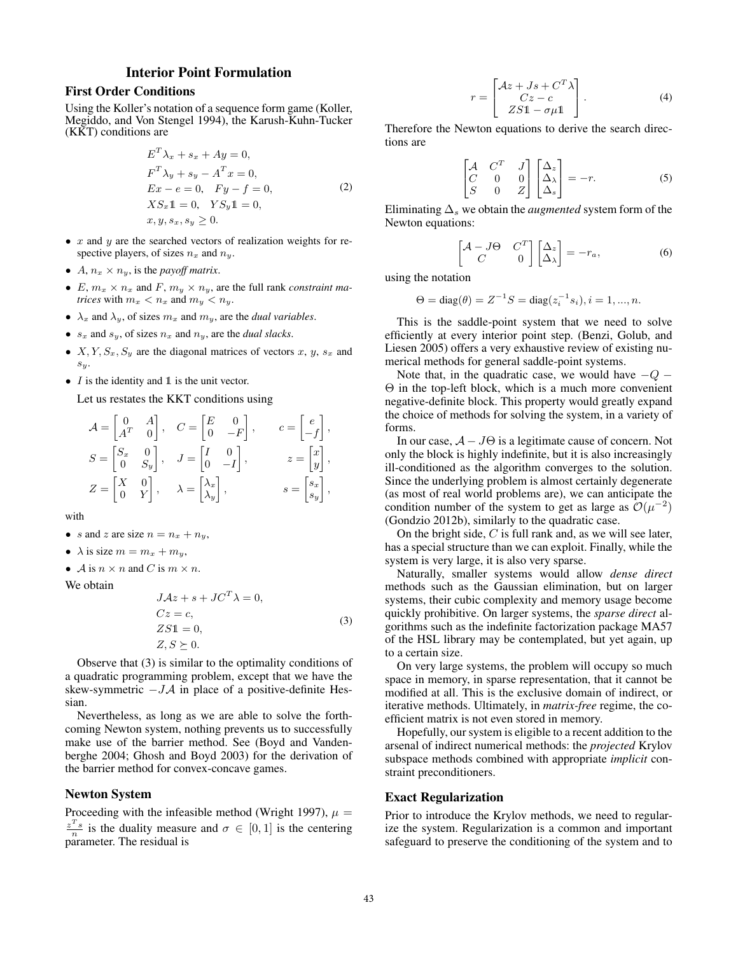# Interior Point Formulation

### First Order Conditions

Using the Koller's notation of a sequence form game (Koller, Megiddo, and Von Stengel 1994), the Karush-Kuhn-Tucker (KKT) conditions are

$$
E^{T} \lambda_{x} + s_{x} + Ay = 0,
$$
  
\n
$$
F^{T} \lambda_{y} + s_{y} - A^{T} x = 0,
$$
  
\n
$$
Ex - e = 0, \quad Fy - f = 0,
$$
  
\n
$$
XS_{x}1 = 0, \quad YS_{y}1 = 0,
$$
  
\n
$$
x, y, s_{x}, s_{y} \ge 0.
$$
\n(2)

- $x$  and  $y$  are the searched vectors of realization weights for respective players, of sizes  $n_x$  and  $n_y$ .
- $A, n_x \times n_y$ , is the *payoff matrix*.
- $E, m_x \times n_x$  and  $F, m_y \times n_y$ , are the full rank *constraint matrices* with  $m_x < n_x$  and  $m_y < n_y$ .
- $\lambda_x$  and  $\lambda_y$ , of sizes  $m_x$  and  $m_y$ , are the *dual variables*.
- $s_x$  and  $s_y$ , of sizes  $n_x$  and  $n_y$ , are the *dual slacks*.
- $X, Y, S_x, S_y$  are the diagonal matrices of vectors x, y,  $s_x$  and  $s_y$ .
- $I$  is the identity and  $\mathbbm{1}$  is the unit vector.

Let us restates the KKT conditions using

$$
\mathcal{A} = \begin{bmatrix} 0 & A \\ A^T & 0 \end{bmatrix}, \quad C = \begin{bmatrix} E & 0 \\ 0 & -F \end{bmatrix}, \qquad c = \begin{bmatrix} e \\ -f \end{bmatrix},
$$

$$
S = \begin{bmatrix} S_x & 0 \\ 0 & S_y \end{bmatrix}, \quad J = \begin{bmatrix} I & 0 \\ 0 & -I \end{bmatrix}, \qquad z = \begin{bmatrix} x \\ y \end{bmatrix},
$$

$$
Z = \begin{bmatrix} X & 0 \\ 0 & Y \end{bmatrix}, \qquad \lambda = \begin{bmatrix} \lambda_x \\ \lambda_y \end{bmatrix}, \qquad s = \begin{bmatrix} s_x \\ s_y \end{bmatrix},
$$

with

- s and z are size  $n = n_x + n_y$ ,
- $\lambda$  is size  $m = m_x + m_y$ ,
- $\mathcal A$  is  $n \times n$  and  $C$  is  $m \times n$ .

We obtain

$$
JAz + s + JCT \lambda = 0,
$$
  
\n
$$
Cz = c,
$$
  
\n
$$
ZS1 = 0,
$$
  
\n
$$
Z, S \succeq 0.
$$
  
\n(3)

Observe that (3) is similar to the optimality conditions of a quadratic programming problem, except that we have the skew-symmetric  $-JA$  in place of a positive-definite Hessian.

Nevertheless, as long as we are able to solve the forthcoming Newton system, nothing prevents us to successfully make use of the barrier method. See (Boyd and Vandenberghe 2004; Ghosh and Boyd 2003) for the derivation of the barrier method for convex-concave games.

#### Newton System

Proceeding with the infeasible method (Wright 1997),  $\mu =$  $\frac{z^T s}{n}$  is the duality measure and  $\sigma \in [0, 1]$  is the centering parameter. The residual is

$$
r = \begin{bmatrix} Az + JS + C^T \lambda \\ Cz - c \\ ZS1 - \sigma \mu 1 \end{bmatrix}.
$$
 (4)

Therefore the Newton equations to derive the search directions are

$$
\begin{bmatrix} \mathcal{A} & C^T & J \\ C & 0 & 0 \\ S & 0 & Z \end{bmatrix} \begin{bmatrix} \Delta_z \\ \Delta_\lambda \\ \Delta_s \end{bmatrix} = -r.
$$
 (5)

Eliminating  $\Delta_s$  we obtain the *augmented* system form of the Newton equations:

$$
\begin{bmatrix} \mathcal{A} - J\Theta & C^T \\ C & 0 \end{bmatrix} \begin{bmatrix} \Delta_z \\ \Delta_\lambda \end{bmatrix} = -r_a, \tag{6}
$$

using the notation

$$
\Theta = diag(\theta) = Z^{-1}S = diag(z_i^{-1} s_i), i = 1, ..., n.
$$

This is the saddle-point system that we need to solve efficiently at every interior point step. (Benzi, Golub, and Liesen 2005) offers a very exhaustive review of existing numerical methods for general saddle-point systems.

Note that, in the quadratic case, we would have  $-Q -$ Θ in the top-left block, which is a much more convenient negative-definite block. This property would greatly expand the choice of methods for solving the system, in a variety of forms.

In our case,  $A - J\Theta$  is a legitimate cause of concern. Not only the block is highly indefinite, but it is also increasingly ill-conditioned as the algorithm converges to the solution. Since the underlying problem is almost certainly degenerate (as most of real world problems are), we can anticipate the condition number of the system to get as large as  $\mathcal{O}(\mu^{-2})$ (Gondzio 2012b), similarly to the quadratic case.

On the bright side,  $C$  is full rank and, as we will see later, has a special structure than we can exploit. Finally, while the system is very large, it is also very sparse.

Naturally, smaller systems would allow *dense direct* methods such as the Gaussian elimination, but on larger systems, their cubic complexity and memory usage become quickly prohibitive. On larger systems, the *sparse direct* algorithms such as the indefinite factorization package MA57 of the HSL library may be contemplated, but yet again, up to a certain size.

On very large systems, the problem will occupy so much space in memory, in sparse representation, that it cannot be modified at all. This is the exclusive domain of indirect, or iterative methods. Ultimately, in *matrix-free* regime, the coefficient matrix is not even stored in memory.

Hopefully, our system is eligible to a recent addition to the arsenal of indirect numerical methods: the *projected* Krylov subspace methods combined with appropriate *implicit* constraint preconditioners.

#### Exact Regularization

Prior to introduce the Krylov methods, we need to regularize the system. Regularization is a common and important safeguard to preserve the conditioning of the system and to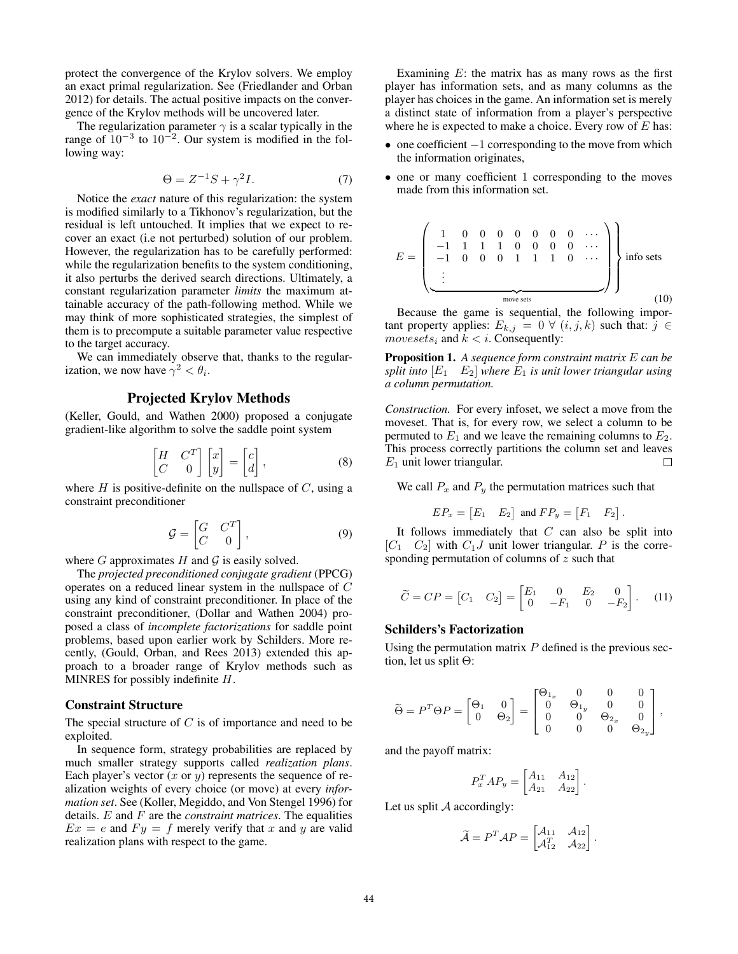protect the convergence of the Krylov solvers. We employ an exact primal regularization. See (Friedlander and Orban 2012) for details. The actual positive impacts on the convergence of the Krylov methods will be uncovered later.

The regularization parameter  $\gamma$  is a scalar typically in the range of  $10^{-3}$  to  $10^{-2}$ . Our system is modified in the following way:

$$
\Theta = Z^{-1}S + \gamma^2 I. \tag{7}
$$

Notice the *exact* nature of this regularization: the system is modified similarly to a Tikhonov's regularization, but the residual is left untouched. It implies that we expect to recover an exact (i.e not perturbed) solution of our problem. However, the regularization has to be carefully performed: while the regularization benefits to the system conditioning, it also perturbs the derived search directions. Ultimately, a constant regularization parameter *limits* the maximum attainable accuracy of the path-following method. While we may think of more sophisticated strategies, the simplest of them is to precompute a suitable parameter value respective to the target accuracy.

We can immediately observe that, thanks to the regularization, we now have  $\gamma^2 < \theta_i$ .

# Projected Krylov Methods

(Keller, Gould, and Wathen 2000) proposed a conjugate gradient-like algorithm to solve the saddle point system

$$
\begin{bmatrix} H & C^T \\ C & 0 \end{bmatrix} \begin{bmatrix} x \\ y \end{bmatrix} = \begin{bmatrix} c \\ d \end{bmatrix},
$$
 (8)

where  $H$  is positive-definite on the nullspace of  $C$ , using a constraint preconditioner

$$
\mathcal{G} = \begin{bmatrix} G & C^T \\ C & 0 \end{bmatrix}, \tag{9}
$$

where  $G$  approximates  $H$  and  $G$  is easily solved.

The *projected preconditioned conjugate gradient* (PPCG) operates on a reduced linear system in the nullspace of C using any kind of constraint preconditioner. In place of the constraint preconditioner, (Dollar and Wathen 2004) proposed a class of *incomplete factorizations* for saddle point problems, based upon earlier work by Schilders. More recently, (Gould, Orban, and Rees 2013) extended this approach to a broader range of Krylov methods such as MINRES for possibly indefinite H.

#### Constraint Structure

The special structure of  $C$  is of importance and need to be exploited.

In sequence form, strategy probabilities are replaced by much smaller strategy supports called *realization plans*. Each player's vector  $(x \text{ or } y)$  represents the sequence of realization weights of every choice (or move) at every *information set*. See (Koller, Megiddo, and Von Stengel 1996) for details. E and F are the *constraint matrices*. The equalities  $Ex = e$  and  $F y = f$  merely verify that x and y are valid realization plans with respect to the game.

Examining  $E$ : the matrix has as many rows as the first player has information sets, and as many columns as the player has choices in the game. An information set is merely a distinct state of information from a player's perspective where he is expected to make a choice. Every row of  $E$  has:

- one coefficient  $-1$  corresponding to the move from which the information originates,
- one or many coefficient 1 corresponding to the moves made from this information set.

$$
E = \begin{pmatrix} 1 & 0 & 0 & 0 & 0 & 0 & 0 & \cdots \\ -1 & 1 & 1 & 1 & 0 & 0 & 0 & 0 & \cdots \\ -1 & 0 & 0 & 0 & 1 & 1 & 1 & 0 & \cdots \\ \vdots & \vdots & \vdots & \ddots & \vdots & \vdots & \vdots \\ \hline \end{pmatrix}
$$
info sets (10)

Because the game is sequential, the following important property applies:  $E_{k,j} = 0 \forall (i, j, k)$  such that:  $j \in$ movesets<sub>i</sub> and  $k < i$ . Consequently:

Proposition 1. *A sequence form constraint matrix* E *can be split into*  $\begin{bmatrix} E_1 & E_2 \end{bmatrix}$  *where*  $E_1$  *is unit lower triangular using a column permutation.*

*Construction.* For every infoset, we select a move from the moveset. That is, for every row, we select a column to be permuted to  $E_1$  and we leave the remaining columns to  $E_2$ . This process correctly partitions the column set and leaves  $E_1$  unit lower triangular.  $\Box$ 

We call  $P_x$  and  $P_y$  the permutation matrices such that

$$
EP_x = \begin{bmatrix} E_1 & E_2 \end{bmatrix} \text{ and } FP_y = \begin{bmatrix} F_1 & F_2 \end{bmatrix}.
$$

It follows immediately that  $C$  can also be split into  $[C_1 \quad C_2]$  with  $C_1J$  unit lower triangular. P is the corresponding permutation of columns of z such that

$$
\widetilde{C} = CP = \begin{bmatrix} C_1 & C_2 \end{bmatrix} = \begin{bmatrix} E_1 & 0 & E_2 & 0 \\ 0 & -F_1 & 0 & -F_2 \end{bmatrix}.
$$
 (11)

#### Schilders's Factorization

Using the permutation matrix  $P$  defined is the previous section, let us split Θ:

$$
\widetilde{\Theta} = P^T \Theta P = \begin{bmatrix} \Theta_1 & 0 \\ 0 & \Theta_2 \end{bmatrix} = \begin{bmatrix} \Theta_{1_x} & 0 & 0 & 0 \\ 0 & \Theta_{1_y} & 0 & 0 \\ 0 & 0 & \Theta_{2_x} & 0 \\ 0 & 0 & 0 & \Theta_{2_y} \end{bmatrix},
$$

and the payoff matrix:

$$
P_x^T A P_y = \begin{bmatrix} A_{11} & A_{12} \\ A_{21} & A_{22} \end{bmatrix}.
$$

Let us split  $A$  accordingly:

$$
\widetilde{\mathcal{A}} = P^T \mathcal{A} P = \begin{bmatrix} \mathcal{A}_{11} & \mathcal{A}_{12} \\ \mathcal{A}_{12}^T & \mathcal{A}_{22} \end{bmatrix}.
$$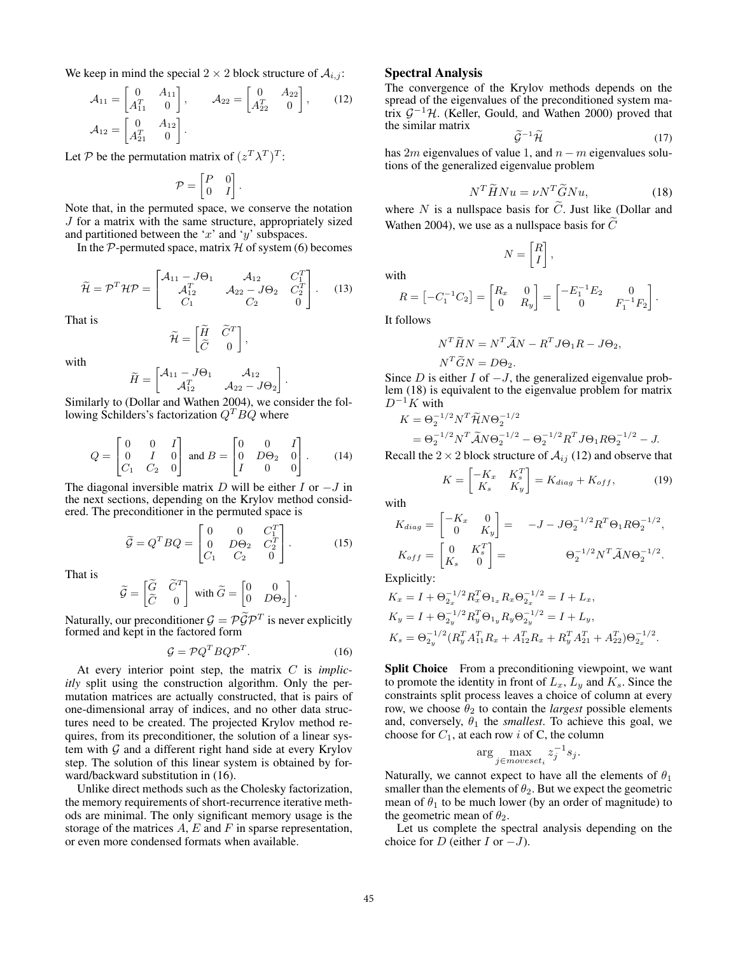We keep in mind the special  $2 \times 2$  block structure of  $A_{i,j}$ :

$$
\mathcal{A}_{11} = \begin{bmatrix} 0 & A_{11} \\ A_{11}^T & 0 \end{bmatrix}, \qquad \mathcal{A}_{22} = \begin{bmatrix} 0 & A_{22} \\ A_{22}^T & 0 \end{bmatrix}, \qquad (12)
$$

$$
\mathcal{A}_{12} = \begin{bmatrix} 0 & A_{12} \\ A_{21}^T & 0 \end{bmatrix}.
$$

Let P be the permutation matrix of  $(z^T \lambda^T)^T$ :

$$
\mathcal{P} = \begin{bmatrix} P & 0 \\ 0 & I \end{bmatrix}.
$$

Note that, in the permuted space, we conserve the notation J for a matrix with the same structure, appropriately sized and partitioned between the 'x' and 'y' subspaces.

In the  $P$ -permuted space, matrix  $H$  of system (6) becomes

$$
\widetilde{\mathcal{H}} = \mathcal{P}^T \mathcal{H} \mathcal{P} = \begin{bmatrix} \mathcal{A}_{11} - J\Theta_1 & \mathcal{A}_{12} & C_1^T \\ \mathcal{A}_{12}^T & \mathcal{A}_{22} - J\Theta_2 & C_2^T \\ C_1 & C_2 & 0 \end{bmatrix} . \tag{13}
$$

That is

$$
\widetilde{\mathcal{H}} = \begin{bmatrix} \widetilde{H} & \widetilde{C}^T \\ \widetilde{C} & 0 \end{bmatrix},
$$

with

$$
\widetilde{H} = \begin{bmatrix} \mathcal{A}_{11} - J\Theta_1 & \mathcal{A}_{12} \\ \mathcal{A}_{12}^T & \mathcal{A}_{22} - J\Theta_2 \end{bmatrix}.
$$

Similarly to (Dollar and Wathen 2004), we consider the following Schilders's factorization  $Q^T B Q$  where

$$
Q = \begin{bmatrix} 0 & 0 & I \\ 0 & I & 0 \\ C_1 & C_2 & 0 \end{bmatrix} \text{ and } B = \begin{bmatrix} 0 & 0 & I \\ 0 & D\Theta_2 & 0 \\ I & 0 & 0 \end{bmatrix}.
$$
 (14)

The diagonal inversible matrix D will be either I or  $-J$  in the next sections, depending on the Krylov method considered. The preconditioner in the permuted space is

$$
\widetilde{\mathcal{G}} = Q^T B Q = \begin{bmatrix} 0 & 0 & C_1^T \\ 0 & D\Theta_2 & C_2^T \\ C_1 & C_2 & 0 \end{bmatrix} .
$$
 (15)

That is

$$
\widetilde{\mathcal{G}} = \begin{bmatrix} \widetilde{G} & \widetilde{C}^T \\ \widetilde{C} & 0 \end{bmatrix} \text{ with } \widetilde{G} = \begin{bmatrix} 0 & 0 \\ 0 & D\Theta_2 \end{bmatrix}.
$$

Naturally, our preconditioner  $\mathcal{G} = \mathcal{P} \tilde{\mathcal{G}} \mathcal{P}^T$  is never explicitly formed and least in the fectored form formed and kept in the factored form

$$
\mathcal{G} = \mathcal{P} Q^T B Q \mathcal{P}^T. \tag{16}
$$

At every interior point step, the matrix C is *implicitly* split using the construction algorithm. Only the permutation matrices are actually constructed, that is pairs of one-dimensional array of indices, and no other data structures need to be created. The projected Krylov method requires, from its preconditioner, the solution of a linear system with  $G$  and a different right hand side at every Krylov step. The solution of this linear system is obtained by forward/backward substitution in (16).

Unlike direct methods such as the Cholesky factorization, the memory requirements of short-recurrence iterative methods are minimal. The only significant memory usage is the storage of the matrices  $A$ ,  $E$  and  $F$  in sparse representation, or even more condensed formats when available.

#### Spectral Analysis

The convergence of the Krylov methods depends on the spread of the eigenvalues of the preconditioned system matrix  $G^{-1}$ H. (Keller, Gould, and Wathen 2000) proved that the similar matrix

$$
\widetilde{\mathcal{G}}^{-1}\widetilde{\mathcal{H}}\tag{17}
$$

has 2m eigenvalues of value 1, and  $n - m$  eigenvalues solutions of the generalized eigenvalue problem

$$
N^T \widetilde{H} N u = \nu N^T \widetilde{G} N u,\tag{18}
$$

where N is a nullspace basis for C. Just like (Dollar and Wathen 2004), we use as a nullspace basis for  $\tilde{C}$ 

> $\lceil R \rceil$ I ,

$$
N =
$$

 $R = \begin{bmatrix} -C_1^{-1}C_2 \end{bmatrix} = \begin{bmatrix} R_x & 0 \\ 0 & R_x \end{bmatrix}$  $0$   $R_y$  $\Big] = \begin{bmatrix} -E_1^{-1}E_2 & 0 \\ 0 & E_1^{-1} \end{bmatrix}$ 0  $F_1^{-1}F_2$ .

It follows

with

$$
N^T \widetilde{H} N = N^T \widetilde{A} N - R^T J \Theta_1 R - J \Theta_2,
$$
  

$$
N^T \widetilde{G} N = D \Theta_2.
$$

Since D is either I of  $-J$ , the generalized eigenvalue problem (18) is equivalent to the eigenvalue problem for matrix  $D^{-1}K$  with

$$
K = \Theta_2^{-1/2} N^T \widetilde{\mathcal{H}} N \Theta_2^{-1/2}
$$
  
=  $\Theta_2^{-1/2} N^T \widetilde{\mathcal{A}} N \Theta_2^{-1/2} - \Theta_2^{-1/2} R^T J \Theta_1 R \Theta_2^{-1/2} - J.$ 

Recall the  $2 \times 2$  block structure of  $A_{ij}$  (12) and observe that

$$
K = \begin{bmatrix} -K_x & K_s^T \\ K_s & K_y \end{bmatrix} = K_{diag} + K_{off}, \tag{19}
$$

with

$$
K_{diag} = \begin{bmatrix} -K_x & 0 \\ 0 & K_y \end{bmatrix} = -J - J\Theta_2^{-1/2}R^T\Theta_1R\Theta_2^{-1/2},
$$
  
\n
$$
K_{off} = \begin{bmatrix} 0 & K_s^T \\ K_s & 0 \end{bmatrix} = \Theta_2^{-1/2}N^T\widetilde{A}N\Theta_2^{-1/2}.
$$

Explicitly:

$$
K_x = I + \Theta_{2x}^{-1/2} R_x^T \Theta_{1x} R_x \Theta_{2x}^{-1/2} = I + L_x,
$$
  
\n
$$
K_y = I + \Theta_{2y}^{-1/2} R_y^T \Theta_{1y} R_y \Theta_{2y}^{-1/2} = I + L_y,
$$
  
\n
$$
K_s = \Theta_{2y}^{-1/2} (R_y^T A_{11}^T R_x + A_{12}^T R_x + R_y^T A_{21}^T + A_{22}^T) \Theta_{2x}^{-1/2}.
$$

Split Choice From a preconditioning viewpoint, we want to promote the identity in front of  $L_x$ ,  $L_y$  and  $K_s$ . Since the constraints split process leaves a choice of column at every row, we choose  $\theta_2$  to contain the *largest* possible elements and, conversely,  $\theta_1$  the *smallest*. To achieve this goal, we choose for  $C_1$ , at each row i of C, the column

$$
\arg\max_{j \in moveset_i} z_j^{-1} s_j.
$$

Naturally, we cannot expect to have all the elements of  $\theta_1$ smaller than the elements of  $\theta_2$ . But we expect the geometric mean of  $\theta_1$  to be much lower (by an order of magnitude) to the geometric mean of  $\theta_2$ .

Let us complete the spectral analysis depending on the choice for D (either I or  $-J$ ).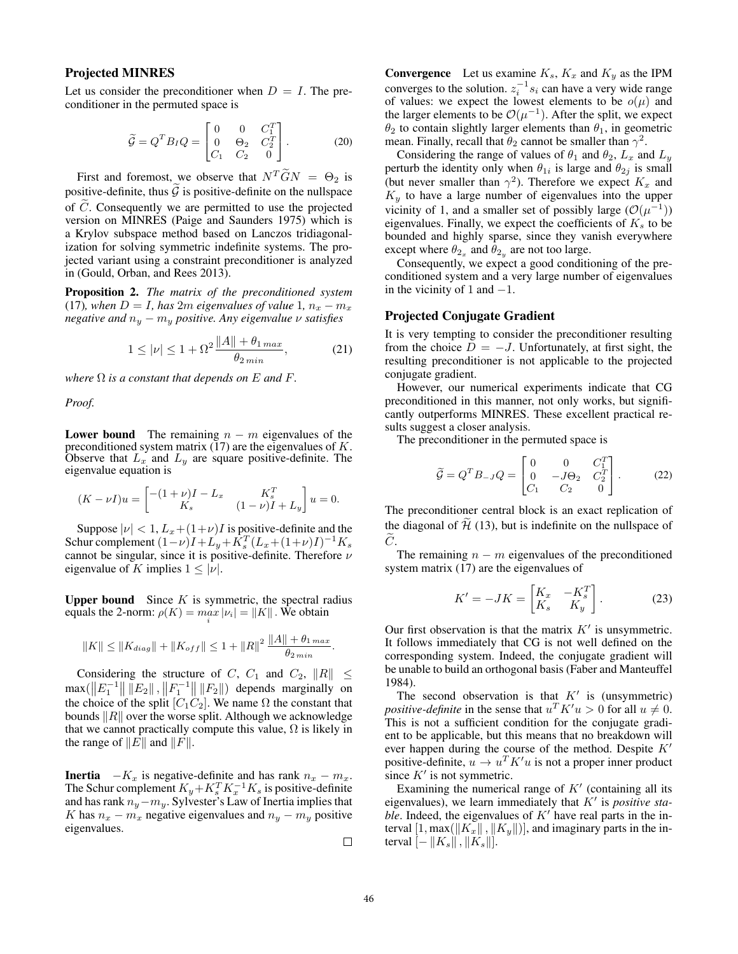# Projected MINRES

Let us consider the preconditioner when  $D = I$ . The preconditioner in the permuted space is

$$
\widetilde{\mathcal{G}} = Q^T B_I Q = \begin{bmatrix} 0 & 0 & C_1^T \\ 0 & \Theta_2 & C_2^T \\ C_1 & C_2 & 0 \end{bmatrix} . \tag{20}
$$

First and foremost, we observe that  $N^T \widetilde{G} N = \Theta_2$  is positive-definite, thus  $\widetilde{\mathcal{G}}$  is positive-definite on the nullspace of  $\tilde{C}$ . Consequently we are permitted to use the projected version on MINRES (Paige and Saunders 1975) which is a Krylov subspace method based on Lanczos tridiagonalization for solving symmetric indefinite systems. The projected variant using a constraint preconditioner is analyzed in (Gould, Orban, and Rees 2013).

Proposition 2. *The matrix of the preconditioned system* (17)*, when*  $D = I$ *, has* 2*m eigenvalues of value* 1*,*  $n_x - m_x$ *negative and*  $n_y - m_y$  *positive. Any eigenvalue*  $\nu$  *satisfies* 

$$
1 \le |\nu| \le 1 + \Omega^2 \frac{\|A\| + \theta_{1\max}}{\theta_{2\min}},\tag{21}
$$

*where*  $\Omega$  *is a constant that depends on*  $E$  *and*  $F$ *.* 

*Proof.*

**Lower bound** The remaining  $n - m$  eigenvalues of the preconditioned system matrix  $(17)$  are the eigenvalues of K. Observe that  $L_x$  and  $L_y$  are square positive-definite. The eigenvalue equation is

$$
(K - \nu I)u = \begin{bmatrix} -(1 + \nu)I - L_x & K_s^T \\ K_s & (1 - \nu)I + L_y \end{bmatrix} u = 0.
$$

Suppose  $|\nu| < 1$ ,  $L_x + (1+\nu)I$  is positive-definite and the Schur complement  $(1-\nu)I + L_y + K_s^T (L_x + (1+\nu)I)^{-1} K_s$ cannot be singular, since it is positive-definite. Therefore  $\nu$ eigenvalue of K implies  $1 \leq |\nu|$ .

**Upper bound** Since  $K$  is symmetric, the spectral radius equals the 2-norm:  $\rho(K) = \max_i |\nu_i| = ||K||$ . We obtain

$$
||K|| \leq ||K_{diag}|| + ||K_{off}|| \leq 1 + ||R||^2 \frac{||A|| + \theta_{1 max}}{\theta_{2 min}}.
$$

Considering the structure of C,  $C_1$  and  $C_2$ ,  $||R|| \le$  $\max(||E_1^{-1}|| ||E_2||, ||F_1^{-1}|| ||F_2||)$  depends marginally on the choice of the split  $[C_1C_2]$ . We name  $\Omega$  the constant that bounds  $\Vert R \Vert$  over the worse split. Although we acknowledge that we cannot practically compute this value,  $\Omega$  is likely in the range of  $||E||$  and  $||F||$ .

**Inertia**  $-K_x$  is negative-definite and has rank  $n_x - m_x$ . The Schur complement  $K_y + K_s^T K_x^{-1} K_s$  is positive-definite and has rank  $n_y - m_y$ . Sylvester's Law of Inertia implies that K has  $n_x - m_x$  negative eigenvalues and  $n_y - m_y$  positive eigenvalues.

**Convergence** Let us examine  $K_s$ ,  $K_x$  and  $K_y$  as the IPM converges to the solution.  $z_i^{-1} s_i$  can have a very wide range of values: we expect the lowest elements to be  $o(\mu)$  and the larger elements to be  $\mathcal{O}(\mu^{-1})$ . After the split, we expect  $\theta_2$  to contain slightly larger elements than  $\theta_1$ , in geometric mean. Finally, recall that  $\theta_2$  cannot be smaller than  $\gamma^2$ .

Considering the range of values of  $\theta_1$  and  $\theta_2$ ,  $L_x$  and  $L_y$ perturb the identity only when  $\theta_{1i}$  is large and  $\theta_{2j}$  is small (but never smaller than  $\gamma^2$ ). Therefore we expect  $K_x$  and  $K<sub>y</sub>$  to have a large number of eigenvalues into the upper vicinity of 1, and a smaller set of possibly large  $(\mathcal{O}(\mu^{-1}))$ eigenvalues. Finally, we expect the coefficients of  $K<sub>s</sub>$  to be bounded and highly sparse, since they vanish everywhere except where  $\theta_{2_x}$  and  $\theta_{2_y}$  are not too large.

Consequently, we expect a good conditioning of the preconditioned system and a very large number of eigenvalues in the vicinity of 1 and  $-1$ .

#### Projected Conjugate Gradient

It is very tempting to consider the preconditioner resulting from the choice  $D = -J$ . Unfortunately, at first sight, the resulting preconditioner is not applicable to the projected conjugate gradient.

However, our numerical experiments indicate that CG preconditioned in this manner, not only works, but significantly outperforms MINRES. These excellent practical results suggest a closer analysis.

The preconditioner in the permuted space is

$$
\widetilde{\mathcal{G}} = Q^T B_{-J} Q = \begin{bmatrix} 0 & 0 & C_1^T \\ 0 & -J\Theta_2 & C_2^T \\ C_1 & C_2 & 0 \end{bmatrix} .
$$
 (22)

The preconditioner central block is an exact replication of the diagonal of  $\tilde{\mathcal{H}}$  (13), but is indefinite on the nullspace of  $C$ .

The remaining  $n - m$  eigenvalues of the preconditioned system matrix (17) are the eigenvalues of

$$
K' = -JK = \begin{bmatrix} K_x & -K_s^T \\ K_s & K_y \end{bmatrix} . \tag{23}
$$

Our first observation is that the matrix  $K'$  is unsymmetric. It follows immediately that CG is not well defined on the corresponding system. Indeed, the conjugate gradient will be unable to build an orthogonal basis (Faber and Manteuffel 1984).

The second observation is that  $K'$  is (unsymmetric) *positive-definite* in the sense that  $u^T K' u > 0$  for all  $u \neq 0$ . This is not a sufficient condition for the conjugate gradient to be applicable, but this means that no breakdown will ever happen during the course of the method. Despite  $K'$ positive-definite,  $u \to u^T K' u$  is not a proper inner product since  $K'$  is not symmetric.

Examining the numerical range of  $K'$  (containing all its eigenvalues), we learn immediately that  $K'$  is *positive stable*. Indeed, the eigenvalues of  $K'$  have real parts in the interval  $[1, \max(\Vert K_x \Vert, \Vert K_y \Vert)]$ , and imaginary parts in the interval  $[-||K_s||, ||K_s||]$ .

 $\Box$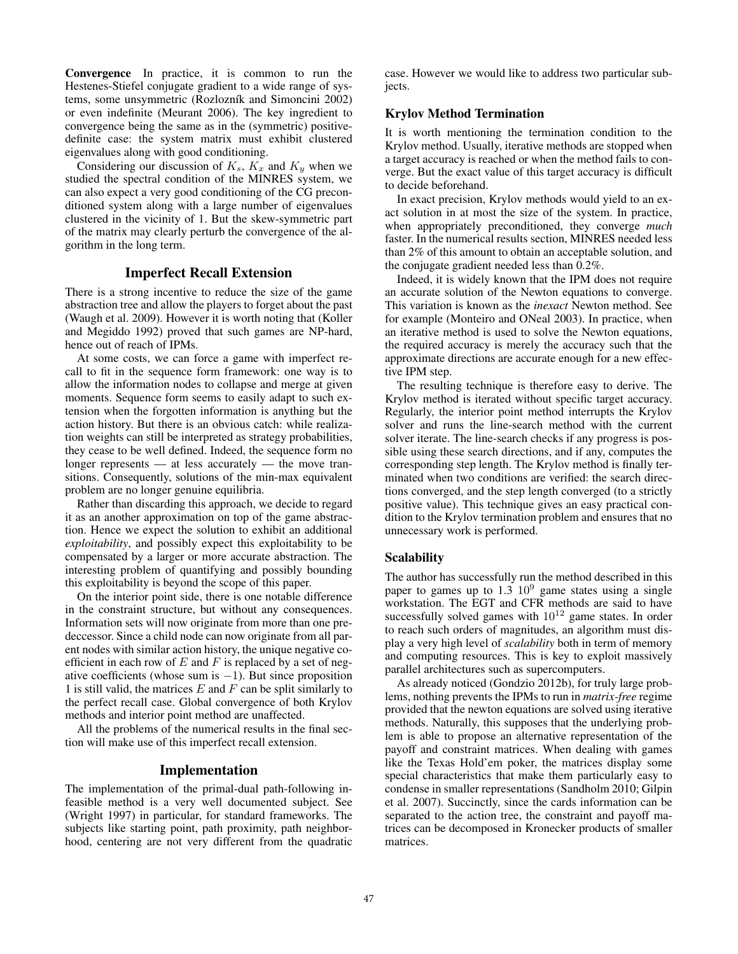Convergence In practice, it is common to run the Hestenes-Stiefel conjugate gradient to a wide range of systems, some unsymmetric (Rozlozník and Simoncini 2002) or even indefinite (Meurant 2006). The key ingredient to convergence being the same as in the (symmetric) positivedefinite case: the system matrix must exhibit clustered eigenvalues along with good conditioning.

Considering our discussion of  $K_s$ ,  $K_x$  and  $K_y$  when we studied the spectral condition of the MINRES system, we can also expect a very good conditioning of the CG preconditioned system along with a large number of eigenvalues clustered in the vicinity of 1. But the skew-symmetric part of the matrix may clearly perturb the convergence of the algorithm in the long term.

### Imperfect Recall Extension

There is a strong incentive to reduce the size of the game abstraction tree and allow the players to forget about the past (Waugh et al. 2009). However it is worth noting that (Koller and Megiddo 1992) proved that such games are NP-hard, hence out of reach of IPMs.

At some costs, we can force a game with imperfect recall to fit in the sequence form framework: one way is to allow the information nodes to collapse and merge at given moments. Sequence form seems to easily adapt to such extension when the forgotten information is anything but the action history. But there is an obvious catch: while realization weights can still be interpreted as strategy probabilities, they cease to be well defined. Indeed, the sequence form no longer represents — at less accurately — the move transitions. Consequently, solutions of the min-max equivalent problem are no longer genuine equilibria.

Rather than discarding this approach, we decide to regard it as an another approximation on top of the game abstraction. Hence we expect the solution to exhibit an additional *exploitability*, and possibly expect this exploitability to be compensated by a larger or more accurate abstraction. The interesting problem of quantifying and possibly bounding this exploitability is beyond the scope of this paper.

On the interior point side, there is one notable difference in the constraint structure, but without any consequences. Information sets will now originate from more than one predeccessor. Since a child node can now originate from all parent nodes with similar action history, the unique negative coefficient in each row of  $E$  and  $F$  is replaced by a set of negative coefficients (whose sum is  $-1$ ). But since proposition 1 is still valid, the matrices  $E$  and  $F$  can be split similarly to the perfect recall case. Global convergence of both Krylov methods and interior point method are unaffected.

All the problems of the numerical results in the final section will make use of this imperfect recall extension.

# Implementation

The implementation of the primal-dual path-following infeasible method is a very well documented subject. See (Wright 1997) in particular, for standard frameworks. The subjects like starting point, path proximity, path neighborhood, centering are not very different from the quadratic case. However we would like to address two particular subjects.

# Krylov Method Termination

It is worth mentioning the termination condition to the Krylov method. Usually, iterative methods are stopped when a target accuracy is reached or when the method fails to converge. But the exact value of this target accuracy is difficult to decide beforehand.

In exact precision, Krylov methods would yield to an exact solution in at most the size of the system. In practice, when appropriately preconditioned, they converge *much* faster. In the numerical results section, MINRES needed less than 2% of this amount to obtain an acceptable solution, and the conjugate gradient needed less than 0.2%.

Indeed, it is widely known that the IPM does not require an accurate solution of the Newton equations to converge. This variation is known as the *inexact* Newton method. See for example (Monteiro and ONeal 2003). In practice, when an iterative method is used to solve the Newton equations, the required accuracy is merely the accuracy such that the approximate directions are accurate enough for a new effective IPM step.

The resulting technique is therefore easy to derive. The Krylov method is iterated without specific target accuracy. Regularly, the interior point method interrupts the Krylov solver and runs the line-search method with the current solver iterate. The line-search checks if any progress is possible using these search directions, and if any, computes the corresponding step length. The Krylov method is finally terminated when two conditions are verified: the search directions converged, and the step length converged (to a strictly positive value). This technique gives an easy practical condition to the Krylov termination problem and ensures that no unnecessary work is performed.

#### Scalability

The author has successfully run the method described in this paper to games up to  $1.3 \, 10^9$  game states using a single workstation. The EGT and CFR methods are said to have successfully solved games with  $10^{12}$  game states. In order to reach such orders of magnitudes, an algorithm must display a very high level of *scalability* both in term of memory and computing resources. This is key to exploit massively parallel architectures such as supercomputers.

As already noticed (Gondzio 2012b), for truly large problems, nothing prevents the IPMs to run in *matrix-free* regime provided that the newton equations are solved using iterative methods. Naturally, this supposes that the underlying problem is able to propose an alternative representation of the payoff and constraint matrices. When dealing with games like the Texas Hold'em poker, the matrices display some special characteristics that make them particularly easy to condense in smaller representations (Sandholm 2010; Gilpin et al. 2007). Succinctly, since the cards information can be separated to the action tree, the constraint and payoff matrices can be decomposed in Kronecker products of smaller matrices.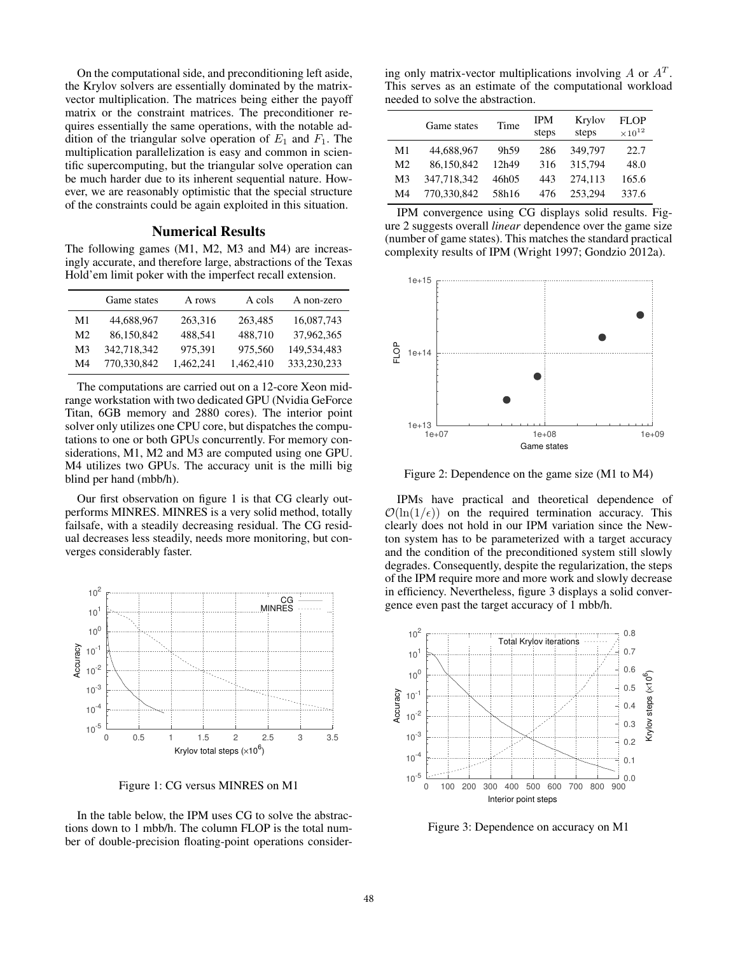On the computational side, and preconditioning left aside, the Krylov solvers are essentially dominated by the matrixvector multiplication. The matrices being either the payoff matrix or the constraint matrices. The preconditioner requires essentially the same operations, with the notable addition of the triangular solve operation of  $E_1$  and  $F_1$ . The multiplication parallelization is easy and common in scientific supercomputing, but the triangular solve operation can be much harder due to its inherent sequential nature. However, we are reasonably optimistic that the special structure of the constraints could be again exploited in this situation.

#### Numerical Results

The following games (M1, M2, M3 and M4) are increasingly accurate, and therefore large, abstractions of the Texas Hold'em limit poker with the imperfect recall extension.

|                | Game states | A rows    | A cols    | A non-zero  |
|----------------|-------------|-----------|-----------|-------------|
| M1             | 44,688,967  | 263,316   | 263,485   | 16,087,743  |
| M <sub>2</sub> | 86,150,842  | 488.541   | 488,710   | 37,962,365  |
| M <sub>3</sub> | 342.718.342 | 975,391   | 975,560   | 149.534.483 |
| M4             | 770,330,842 | 1.462.241 | 1.462.410 | 333.230.233 |

The computations are carried out on a 12-core Xeon midrange workstation with two dedicated GPU (Nvidia GeForce Titan, 6GB memory and 2880 cores). The interior point solver only utilizes one CPU core, but dispatches the computations to one or both GPUs concurrently. For memory considerations, M1, M2 and M3 are computed using one GPU. M4 utilizes two GPUs. The accuracy unit is the milli big blind per hand (mbb/h).

Our first observation on figure 1 is that CG clearly outperforms MINRES. MINRES is a very solid method, totally failsafe, with a steadily decreasing residual. The CG residual decreases less steadily, needs more monitoring, but converges considerably faster.



Figure 1: CG versus MINRES on M1

In the table below, the IPM uses CG to solve the abstractions down to 1 mbb/h. The column FLOP is the total number of double-precision floating-point operations consider-

ing only matrix-vector multiplications involving  $A$  or  $A<sup>T</sup>$ . This serves as an estimate of the computational workload needed to solve the abstraction.

|                | Game states | Time             | <b>IPM</b><br>steps | Krylov<br>steps | <b>FLOP</b><br>$\times 10^{12}$ |
|----------------|-------------|------------------|---------------------|-----------------|---------------------------------|
| M1             | 44,688,967  | 9h <sub>59</sub> | 286                 | 349,797         | 22.7                            |
| M <sub>2</sub> | 86.150.842  | 12h49            | 316                 | 315.794         | 48.0                            |
| M <sub>3</sub> | 347.718.342 | 46h05            | 443                 | 274.113         | 165.6                           |
| M4             | 770.330.842 | 58h16            | 476                 | 253.294         | 337.6                           |

IPM convergence using CG displays solid results. Figure 2 suggests overall *linear* dependence over the game size (number of game states). This matches the standard practical complexity results of IPM (Wright 1997; Gondzio 2012a).



Figure 2: Dependence on the game size (M1 to M4)

IPMs have practical and theoretical dependence of  $\mathcal{O}(\ln(1/\epsilon))$  on the required termination accuracy. This clearly does not hold in our IPM variation since the Newton system has to be parameterized with a target accuracy and the condition of the preconditioned system still slowly degrades. Consequently, despite the regularization, the steps of the IPM require more and more work and slowly decrease in efficiency. Nevertheless, figure 3 displays a solid convergence even past the target accuracy of 1 mbb/h.



Figure 3: Dependence on accuracy on M1